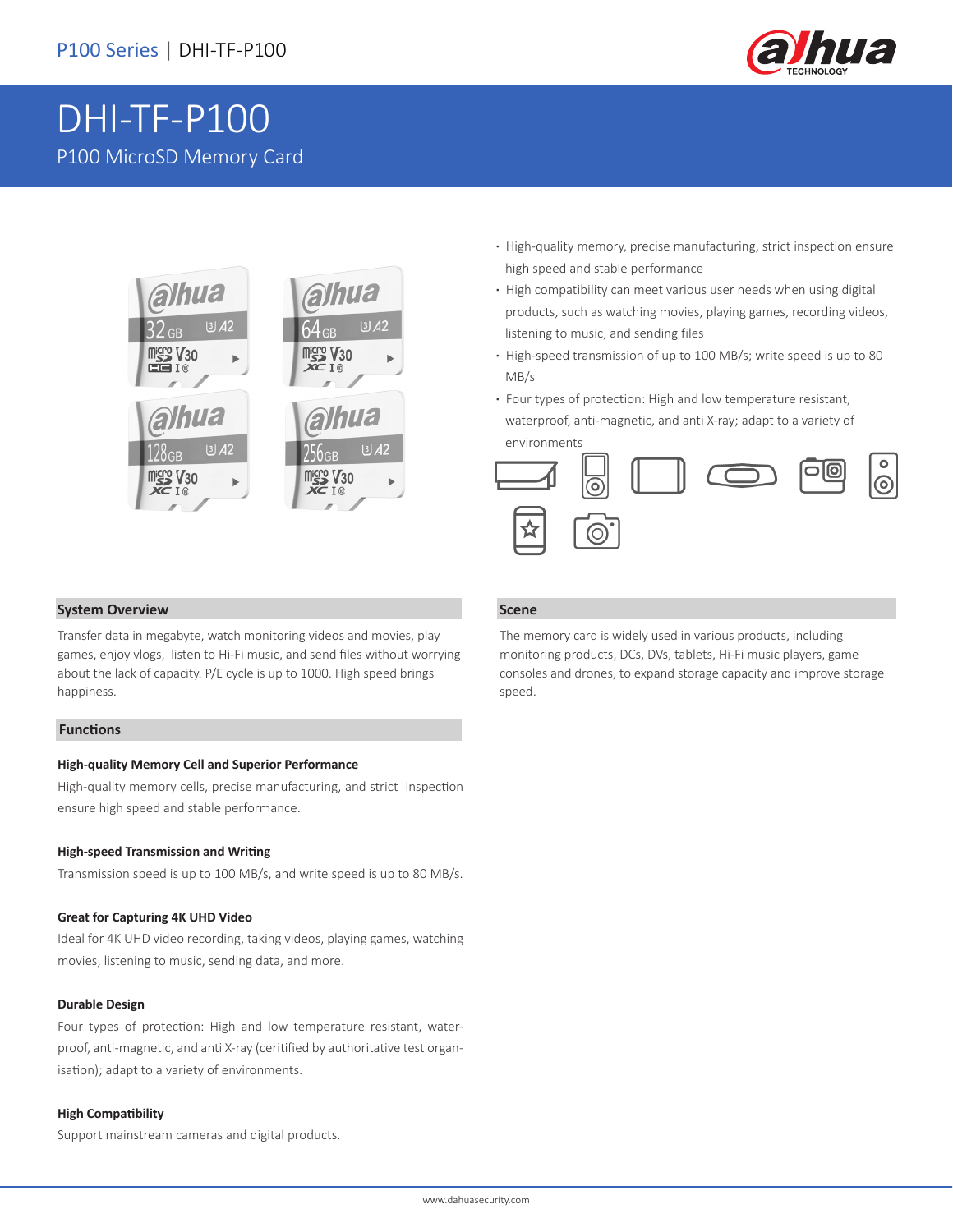

# DHI-TF-P100 P100 MicroSD Memory Card



- **·** High-quality memory, precise manufacturing, strict inspection ensure high speed and stable performance
- **·** High compatibility can meet various user needs when using digital products, such as watching movies, playing games, recording videos, listening to music, and sending files
- **·** High-speed transmission of up to 100 MB/s; write speed is up to 80 MB/s
- **·** Four types of protection: High and low temperature resistant, waterproof, anti-magnetic, and anti X-ray; adapt to a variety of environments



### **System Overview**

Transfer data in megabyte, watch monitoring videos and movies, play games, enjoy vlogs, listen to Hi-Fi music, and send files without worrying about the lack of capacity. P/E cycle is up to 1000. High speed brings happiness.

#### **Functions**

#### **High-quality Memory Cell and Superior Performance**

High-quality memory cells, precise manufacturing, and strict inspection ensure high speed and stable performance.

#### **High-speed Transmission and Writing**

Transmission speed is up to 100 MB/s, and write speed is up to 80 MB/s.

#### **Great for Capturing 4K UHD Video**

Ideal for 4K UHD video recording, taking videos, playing games, watching movies, listening to music, sending data, and more.

#### **Durable Design**

Four types of protection: High and low temperature resistant, waterproof, anti-magnetic, and anti X-ray (ceritified by authoritative test organisation); adapt to a variety of environments.

#### **High Compatibility**

Support mainstream cameras and digital products.

#### **Scene**

The memory card is widely used in various products, including monitoring products, DCs, DVs, tablets, Hi-Fi music players, game consoles and drones, to expand storage capacity and improve storage speed.